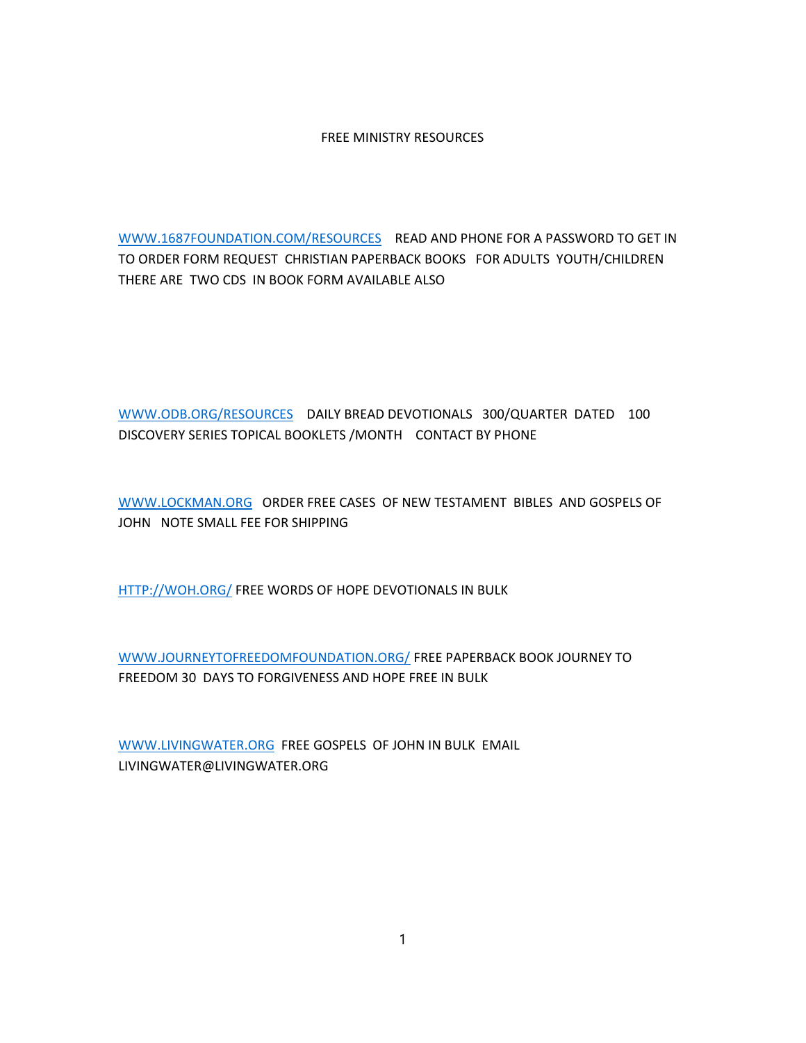## FREE MINISTRY RESOURCES

WWW.1687FOUNDATION.COM/RESOURCES READ AND PHONE FOR A PASSWORD TO GET IN TO ORDER FORM REQUEST CHRISTIAN PAPERBACK BOOKS FOR ADULTS YOUTH/CHILDREN THERE ARE TWO CDS IN BOOK FORM AVAILABLE ALSO

WWW.ODB.ORG/RESOURCES DAILY BREAD DEVOTIONALS 300/QUARTER DATED 100 DISCOVERY SERIES TOPICAL BOOKLETS /MONTH CONTACT BY PHONE

WWW.LOCKMAN.ORG ORDER FREE CASES OF NEW TESTAMENT BIBLES AND GOSPELS OF JOHN NOTE SMALL FEE FOR SHIPPING

HTTP://WOH.ORG/ FREE WORDS OF HOPE DEVOTIONALS IN BULK

WWW.JOURNEYTOFREEDOMFOUNDATION.ORG/ FREE PAPERBACK BOOK JOURNEY TO FREEDOM 30 DAYS TO FORGIVENESS AND HOPE FREE IN BULK

WWW.LIVINGWATER.ORG FREE GOSPELS OF JOHN IN BULK EMAIL LIVINGWATER@LIVINGWATER.ORG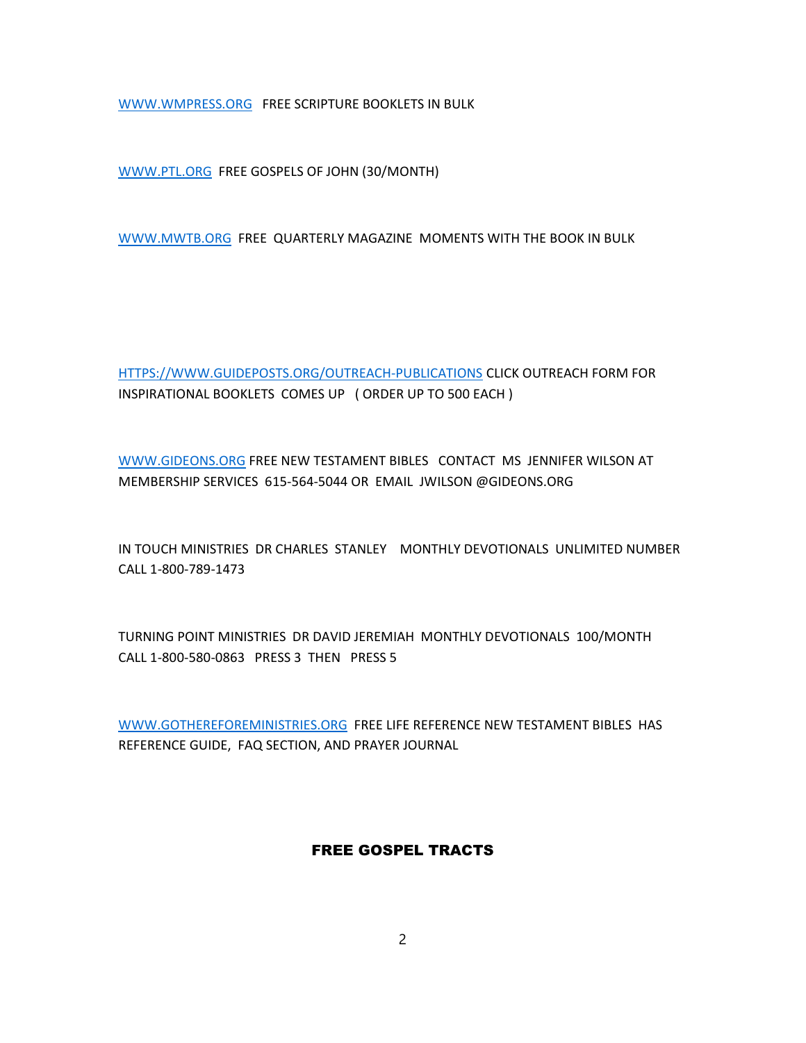WWW.WMPRESS.ORG FREE SCRIPTURE BOOKLETS IN BULK

WWW.PTL.ORG FREE GOSPELS OF JOHN (30/MONTH)

WWW.MWTB.ORG FREE QUARTERLY MAGAZINE MOMENTS WITH THE BOOK IN BULK

HTTPS://WWW.GUIDEPOSTS.ORG/OUTREACH-PUBLICATIONS CLICK OUTREACH FORM FOR INSPIRATIONAL BOOKLETS COMES UP ( ORDER UP TO 500 EACH )

WWW.GIDEONS.ORG FREE NEW TESTAMENT BIBLES CONTACT MS JENNIFER WILSON AT MEMBERSHIP SERVICES 615-564-5044 OR EMAIL JWILSON @GIDEONS.ORG

IN TOUCH MINISTRIES DR CHARLES STANLEY MONTHLY DEVOTIONALS UNLIMITED NUMBER CALL 1-800-789-1473

TURNING POINT MINISTRIES DR DAVID JEREMIAH MONTHLY DEVOTIONALS 100/MONTH CALL 1-800-580-0863 PRESS 3 THEN PRESS 5

WWW.GOTHEREFOREMINISTRIES.ORG FREE LIFE REFERENCE NEW TESTAMENT BIBLES HAS REFERENCE GUIDE, FAQ SECTION, AND PRAYER JOURNAL

## FREE GOSPEL TRACTS